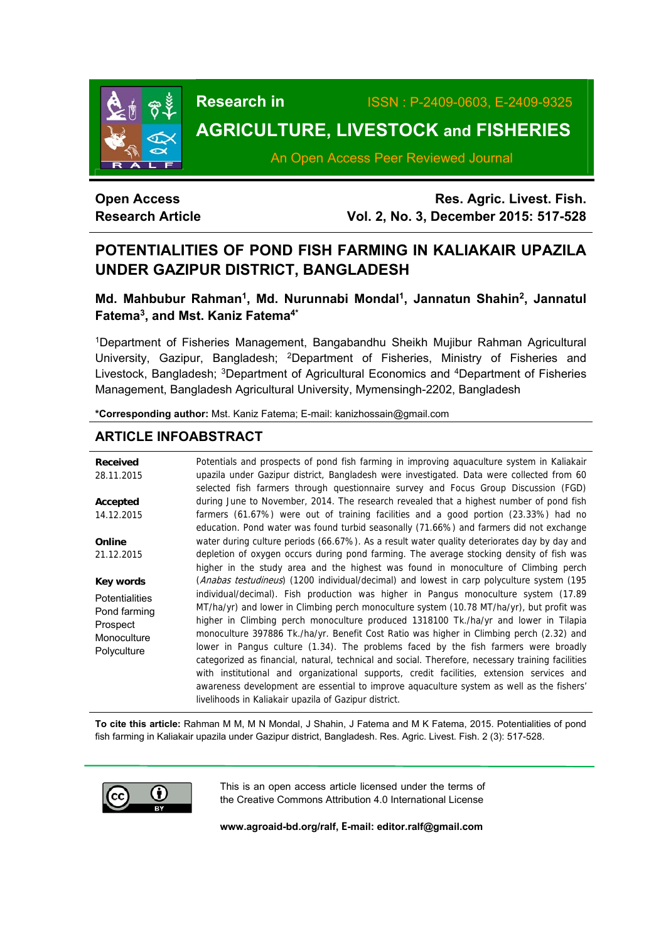

**Research in** ISSN : P-2409-0603, E-2409-9325

# **AGRICULTURE, LIVESTOCK and FISHERIES**

An Open Access Peer Reviewed Journal

## **Open Access Research Article**

**Res. Agric. Livest. Fish. Vol. 2, No. 3, December 2015: 517-528**

## **POTENTIALITIES OF POND FISH FARMING IN KALIAKAIR UPAZILA UNDER GAZIPUR DISTRICT, BANGLADESH**

## **Md. Mahbubur Rahman1, Md. Nurunnabi Mondal1, Jannatun Shahin2, Jannatul Fatema3, and Mst. Kaniz Fatema4\***

1Department of Fisheries Management, Bangabandhu Sheikh Mujibur Rahman Agricultural University, Gazipur, Bangladesh; 2Department of Fisheries, Ministry of Fisheries and Livestock, Bangladesh; 3Department of Agricultural Economics and 4Department of Fisheries Management, Bangladesh Agricultural University, Mymensingh-2202, Bangladesh

**\*Corresponding author:** Mst. Kaniz Fatema; E-mail: kanizhossain@gmail.com

## **ARTICLE INFOABSTRACT**

| <b>Received</b><br>28.11.2015                                                   | Potentials and prospects of pond fish farming in improving aquaculture system in Kaliakair<br>upazila under Gazipur district, Bangladesh were investigated. Data were collected from 60<br>selected fish farmers through questionnaire survey and Focus Group Discussion (FGD)                                                                                                                                                                                                                                                                                                                                                                                                                                                                                                                                      |
|---------------------------------------------------------------------------------|---------------------------------------------------------------------------------------------------------------------------------------------------------------------------------------------------------------------------------------------------------------------------------------------------------------------------------------------------------------------------------------------------------------------------------------------------------------------------------------------------------------------------------------------------------------------------------------------------------------------------------------------------------------------------------------------------------------------------------------------------------------------------------------------------------------------|
| Accepted                                                                        | during June to November, 2014. The research revealed that a highest number of pond fish                                                                                                                                                                                                                                                                                                                                                                                                                                                                                                                                                                                                                                                                                                                             |
| 14.12.2015                                                                      | farmers (61.67%) were out of training facilities and a good portion (23.33%) had no<br>education. Pond water was found turbid seasonally (71.66%) and farmers did not exchange                                                                                                                                                                                                                                                                                                                                                                                                                                                                                                                                                                                                                                      |
| Online                                                                          | water during culture periods (66.67%). As a result water quality deteriorates day by day and                                                                                                                                                                                                                                                                                                                                                                                                                                                                                                                                                                                                                                                                                                                        |
| 21.12.2015                                                                      | depletion of oxygen occurs during pond farming. The average stocking density of fish was<br>higher in the study area and the highest was found in monoculture of Climbing perch                                                                                                                                                                                                                                                                                                                                                                                                                                                                                                                                                                                                                                     |
| Key words                                                                       | (Anabas testudineus) (1200 individual/decimal) and lowest in carp polyculture system (195                                                                                                                                                                                                                                                                                                                                                                                                                                                                                                                                                                                                                                                                                                                           |
| <b>Potentialities</b><br>Pond farming<br>Prospect<br>Monoculture<br>Polyculture | individual/decimal). Fish production was higher in Pangus monoculture system (17.89<br>MT/ha/yr) and lower in Climbing perch monoculture system (10.78 MT/ha/yr), but profit was<br>higher in Climbing perch monoculture produced 1318100 Tk./ha/yr and lower in Tilapia<br>monoculture 397886 Tk./ha/yr. Benefit Cost Ratio was higher in Climbing perch (2.32) and<br>lower in Pangus culture (1.34). The problems faced by the fish farmers were broadly<br>categorized as financial, natural, technical and social. Therefore, necessary training facilities<br>with institutional and organizational supports, credit facilities, extension services and<br>awareness development are essential to improve aquaculture system as well as the fishers'<br>livelihoods in Kaliakair upazila of Gazipur district. |

**To cite this article:** Rahman M M, M N Mondal, J Shahin, J Fatema and M K Fatema, 2015. Potentialities of pond fish farming in Kaliakair upazila under Gazipur district, Bangladesh. Res. Agric. Livest. Fish. 2 (3): 517-528.



This is an open access article licensed under the terms of the Creative Commons Attribution 4.0 International License

**www.agroaid-bd.org/ralf, E-mail: editor.ralf@gmail.com**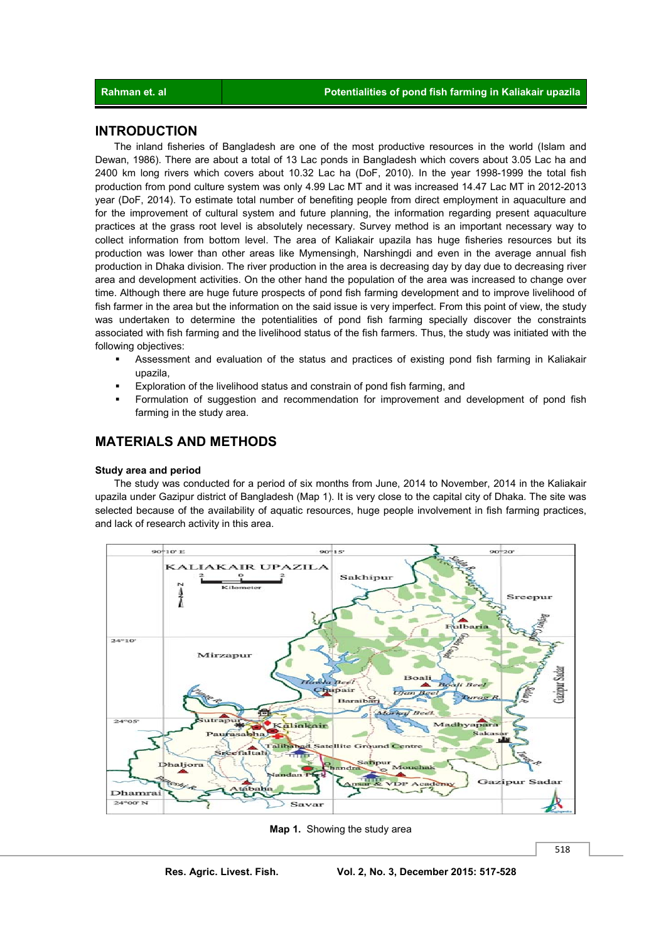## **INTRODUCTION**

 The inland fisheries of Bangladesh are one of the most productive resources in the world (Islam and Dewan, 1986). There are about a total of 13 Lac ponds in Bangladesh which covers about 3.05 Lac ha and 2400 km long rivers which covers about 10.32 Lac ha (DoF, 2010). In the year 1998-1999 the total fish production from pond culture system was only 4.99 Lac MT and it was increased 14.47 Lac MT in 2012-2013 year (DoF, 2014). To estimate total number of benefiting people from direct employment in aquaculture and for the improvement of cultural system and future planning, the information regarding present aquaculture practices at the grass root level is absolutely necessary. Survey method is an important necessary way to collect information from bottom level. The area of Kaliakair upazila has huge fisheries resources but its production was lower than other areas like Mymensingh, Narshingdi and even in the average annual fish production in Dhaka division. The river production in the area is decreasing day by day due to decreasing river area and development activities. On the other hand the population of the area was increased to change over time. Although there are huge future prospects of pond fish farming development and to improve livelihood of fish farmer in the area but the information on the said issue is very imperfect. From this point of view, the study was undertaken to determine the potentialities of pond fish farming specially discover the constraints associated with fish farming and the livelihood status of the fish farmers. Thus, the study was initiated with the following objectives:

- Assessment and evaluation of the status and practices of existing pond fish farming in Kaliakair upazila,
- Exploration of the livelihood status and constrain of pond fish farming, and
- Formulation of suggestion and recommendation for improvement and development of pond fish farming in the study area.

## **MATERIALS AND METHODS**

#### **Study area and period**

 The study was conducted for a period of six months from June, 2014 to November, 2014 in the Kaliakair upazila under Gazipur district of Bangladesh (Map 1). It is very close to the capital city of Dhaka. The site was selected because of the availability of aquatic resources, huge people involvement in fish farming practices, and lack of research activity in this area.



**Map 1.** Showing the study area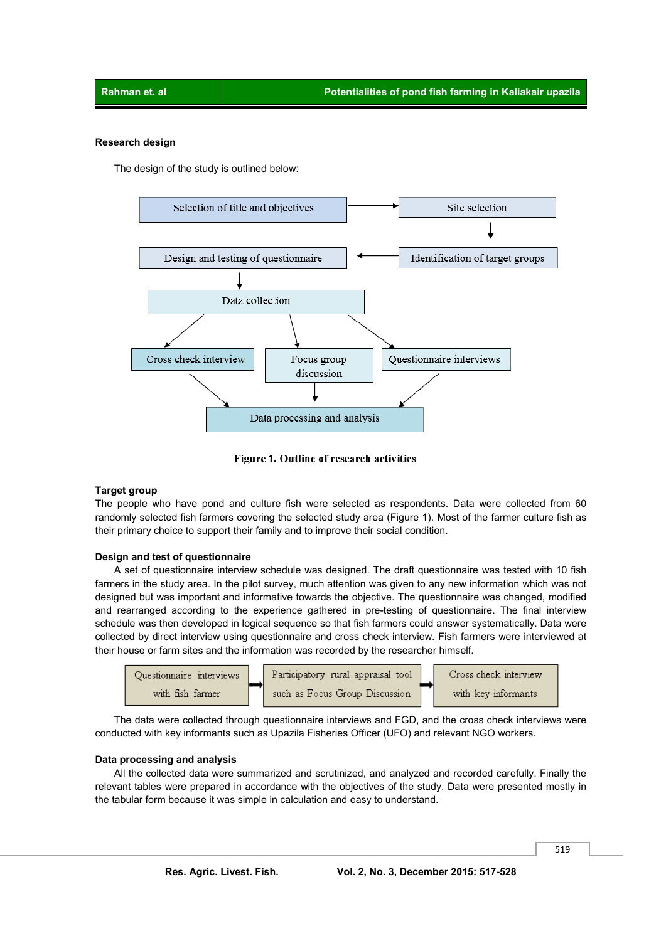#### **Research design**

The design of the study is outlined below:



Figure 1. Outline of research activities

#### **Target group**

The people who have pond and culture fish were selected as respondents. Data were collected from 60 randomly selected fish farmers covering the selected study area (Figure 1). Most of the farmer culture fish as their primary choice to support their family and to improve their social condition.

#### **Design and test of questionnaire**

 A set of questionnaire interview schedule was designed. The draft questionnaire was tested with 10 fish farmers in the study area. In the pilot survey, much attention was given to any new information which was not designed but was important and informative towards the objective. The questionnaire was changed, modified and rearranged according to the experience gathered in pre-testing of questionnaire. The final interview schedule was then developed in logical sequence so that fish farmers could answer systematically. Data were collected by direct interview using questionnaire and cross check interview. Fish farmers were interviewed at their house or farm sites and the information was recorded by the researcher himself.



 The data were collected through questionnaire interviews and FGD, and the cross check interviews were conducted with key informants such as Upazila Fisheries Officer (UFO) and relevant NGO workers.

#### **Data processing and analysis**

 All the collected data were summarized and scrutinized, and analyzed and recorded carefully. Finally the relevant tables were prepared in accordance with the objectives of the study. Data were presented mostly in the tabular form because it was simple in calculation and easy to understand.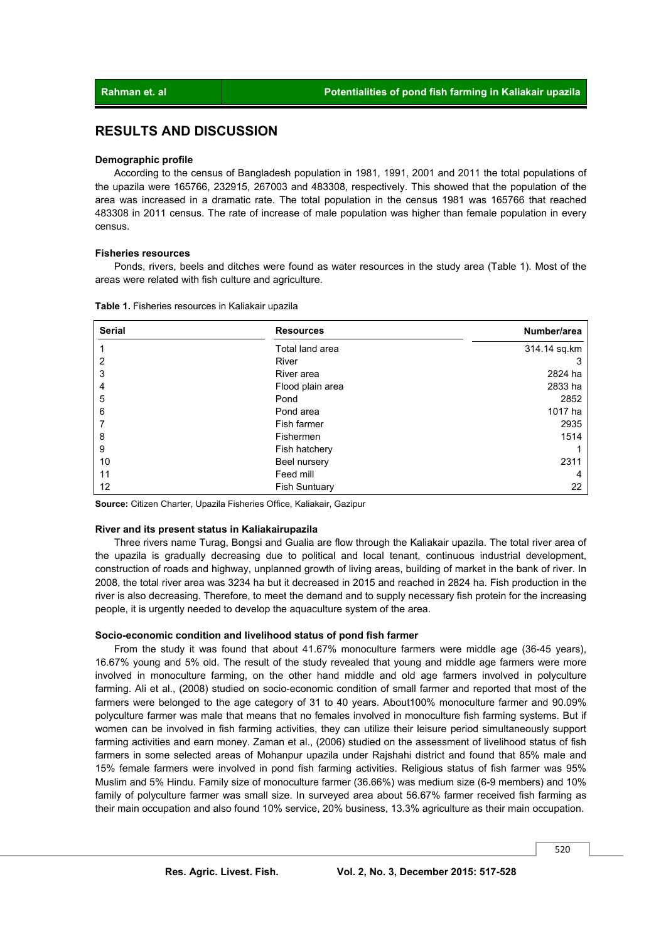## **RESULTS AND DISCUSSION**

#### **Demographic profile**

 According to the census of Bangladesh population in 1981, 1991, 2001 and 2011 the total populations of the upazila were 165766, 232915, 267003 and 483308, respectively. This showed that the population of the area was increased in a dramatic rate. The total population in the census 1981 was 165766 that reached 483308 in 2011 census. The rate of increase of male population was higher than female population in every census.

#### **Fisheries resources**

 Ponds, rivers, beels and ditches were found as water resources in the study area (Table 1). Most of the areas were related with fish culture and agriculture.

| <b>Serial</b> | <b>Resources</b>     | Number/area  |
|---------------|----------------------|--------------|
|               | Total land area      | 314.14 sq.km |
| 2             | River                | З            |
| 3             | River area           | 2824 ha      |
| 4             | Flood plain area     | 2833 ha      |
| 5             | Pond                 | 2852         |
| 6             | Pond area            | 1017 ha      |
|               | Fish farmer          | 2935         |
| 8             | Fishermen            | 1514         |
| 9             | Fish hatchery        |              |
| 10            | Beel nursery         | 2311         |
| 11            | Feed mill            | 4            |
| 12            | <b>Fish Suntuary</b> | 22           |

**Table 1.** Fisheries resources in Kaliakair upazila

**Source:** Citizen Charter, Upazila Fisheries Office, Kaliakair, Gazipur

#### **River and its present status in Kaliakairupazila**

 Three rivers name Turag, Bongsi and Gualia are flow through the Kaliakair upazila. The total river area of the upazila is gradually decreasing due to political and local tenant, continuous industrial development, construction of roads and highway, unplanned growth of living areas, building of market in the bank of river. In 2008, the total river area was 3234 ha but it decreased in 2015 and reached in 2824 ha. Fish production in the river is also decreasing. Therefore, to meet the demand and to supply necessary fish protein for the increasing people, it is urgently needed to develop the aquaculture system of the area.

#### **Socio-economic condition and livelihood status of pond fish farmer**

 From the study it was found that about 41.67% monoculture farmers were middle age (36-45 years), 16.67% young and 5% old. The result of the study revealed that young and middle age farmers were more involved in monoculture farming, on the other hand middle and old age farmers involved in polyculture farming. Ali et al., (2008) studied on socio-economic condition of small farmer and reported that most of the farmers were belonged to the age category of 31 to 40 years. About100% monoculture farmer and 90.09% polyculture farmer was male that means that no females involved in monoculture fish farming systems. But if women can be involved in fish farming activities, they can utilize their leisure period simultaneously support farming activities and earn money. Zaman et al., (2006) studied on the assessment of livelihood status of fish farmers in some selected areas of Mohanpur upazila under Rajshahi district and found that 85% male and 15% female farmers were involved in pond fish farming activities. Religious status of fish farmer was 95% Muslim and 5% Hindu. Family size of monoculture farmer (36.66%) was medium size (6-9 members) and 10% family of polyculture farmer was small size. In surveyed area about 56.67% farmer received fish farming as their main occupation and also found 10% service, 20% business, 13.3% agriculture as their main occupation.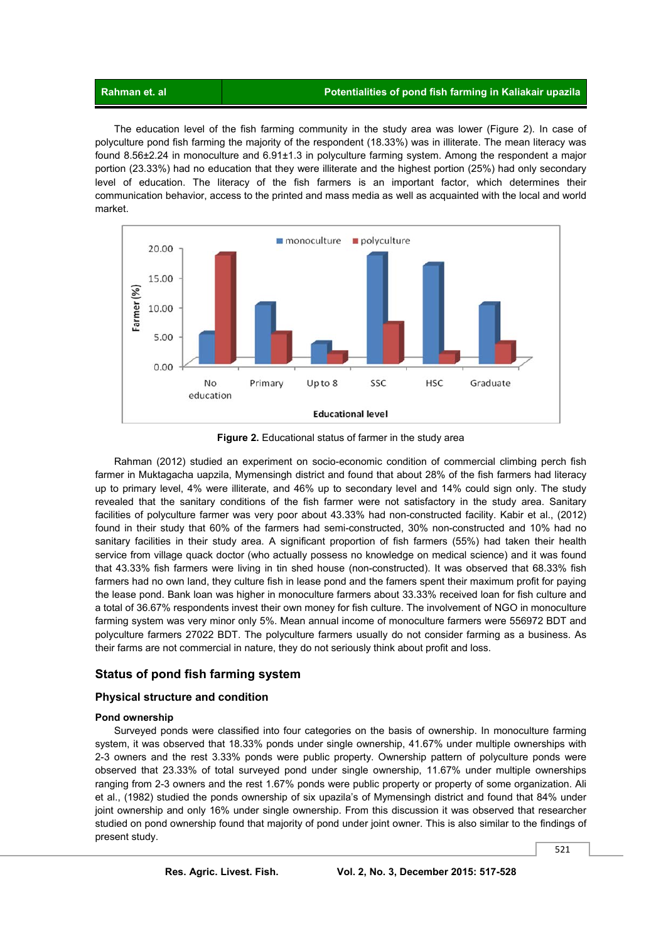#### **Rahman et. al Potentialities of pond fish farming in Kaliakair upazila**

 The education level of the fish farming community in the study area was lower (Figure 2). In case of polyculture pond fish farming the majority of the respondent (18.33%) was in illiterate. The mean literacy was found 8.56±2.24 in monoculture and 6.91±1.3 in polyculture farming system. Among the respondent a major portion (23.33%) had no education that they were illiterate and the highest portion (25%) had only secondary level of education. The literacy of the fish farmers is an important factor, which determines their communication behavior, access to the printed and mass media as well as acquainted with the local and world market.



**Figure 2.** Educational status of farmer in the study area

 Rahman (2012) studied an experiment on socio-economic condition of commercial climbing perch fish farmer in Muktagacha uapzila, Mymensingh district and found that about 28% of the fish farmers had literacy up to primary level, 4% were illiterate, and 46% up to secondary level and 14% could sign only. The study revealed that the sanitary conditions of the fish farmer were not satisfactory in the study area. Sanitary facilities of polyculture farmer was very poor about 43.33% had non-constructed facility. Kabir et al., (2012) found in their study that 60% of the farmers had semi-constructed, 30% non-constructed and 10% had no sanitary facilities in their study area. A significant proportion of fish farmers (55%) had taken their health service from village quack doctor (who actually possess no knowledge on medical science) and it was found that 43.33% fish farmers were living in tin shed house (non-constructed). It was observed that 68.33% fish farmers had no own land, they culture fish in lease pond and the famers spent their maximum profit for paying the lease pond. Bank loan was higher in monoculture farmers about 33.33% received loan for fish culture and a total of 36.67% respondents invest their own money for fish culture. The involvement of NGO in monoculture farming system was very minor only 5%. Mean annual income of monoculture farmers were 556972 BDT and polyculture farmers 27022 BDT. The polyculture farmers usually do not consider farming as a business. As their farms are not commercial in nature, they do not seriously think about profit and loss.

### **Status of pond fish farming system**

#### **Physical structure and condition**

#### **Pond ownership**

 Surveyed ponds were classified into four categories on the basis of ownership. In monoculture farming system, it was observed that 18.33% ponds under single ownership, 41.67% under multiple ownerships with 2-3 owners and the rest 3.33% ponds were public property. Ownership pattern of polyculture ponds were observed that 23.33% of total surveyed pond under single ownership, 11.67% under multiple ownerships ranging from 2-3 owners and the rest 1.67% ponds were public property or property of some organization. Ali et al., (1982) studied the ponds ownership of six upazila's of Mymensingh district and found that 84% under joint ownership and only 16% under single ownership. From this discussion it was observed that researcher studied on pond ownership found that majority of pond under joint owner. This is also similar to the findings of present study.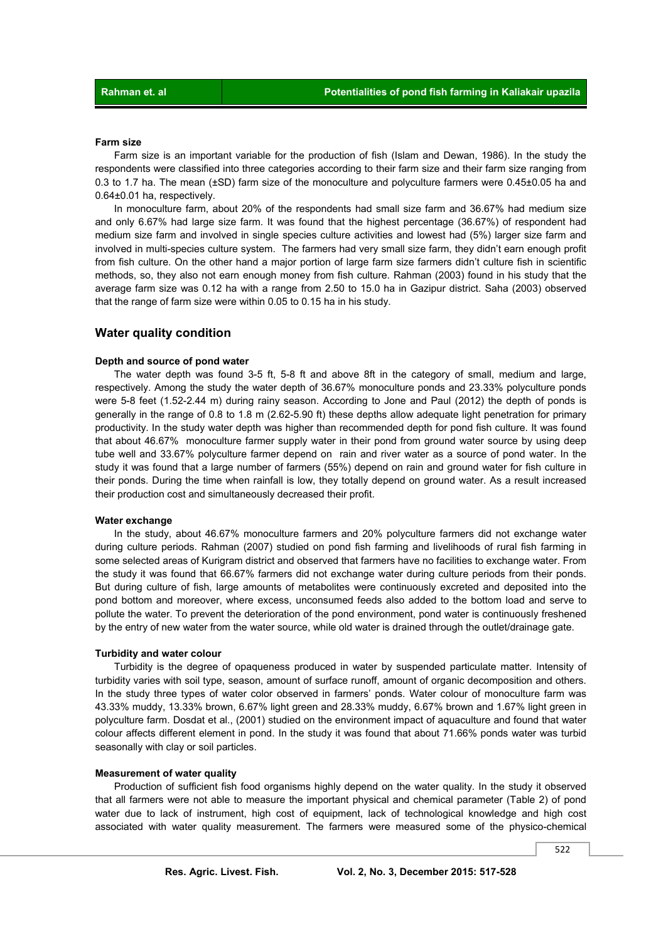#### **Farm size**

 Farm size is an important variable for the production of fish (Islam and Dewan, 1986). In the study the respondents were classified into three categories according to their farm size and their farm size ranging from 0.3 to 1.7 ha. The mean (±SD) farm size of the monoculture and polyculture farmers were 0.45±0.05 ha and 0.64±0.01 ha, respectively.

 In monoculture farm, about 20% of the respondents had small size farm and 36.67% had medium size and only 6.67% had large size farm. It was found that the highest percentage (36.67%) of respondent had medium size farm and involved in single species culture activities and lowest had (5%) larger size farm and involved in multi-species culture system. The farmers had very small size farm, they didn't earn enough profit from fish culture. On the other hand a major portion of large farm size farmers didn't culture fish in scientific methods, so, they also not earn enough money from fish culture. Rahman (2003) found in his study that the average farm size was 0.12 ha with a range from 2.50 to 15.0 ha in Gazipur district. Saha (2003) observed that the range of farm size were within 0.05 to 0.15 ha in his study.

#### **Water quality condition**

#### **Depth and source of pond water**

 The water depth was found 3-5 ft, 5-8 ft and above 8ft in the category of small, medium and large, respectively. Among the study the water depth of 36.67% monoculture ponds and 23.33% polyculture ponds were 5-8 feet (1.52-2.44 m) during rainy season. According to Jone and Paul (2012) the depth of ponds is generally in the range of 0.8 to 1.8 m (2.62-5.90 ft) these depths allow adequate light penetration for primary productivity. In the study water depth was higher than recommended depth for pond fish culture. It was found that about 46.67% monoculture farmer supply water in their pond from ground water source by using deep tube well and 33.67% polyculture farmer depend on rain and river water as a source of pond water. In the study it was found that a large number of farmers (55%) depend on rain and ground water for fish culture in their ponds. During the time when rainfall is low, they totally depend on ground water. As a result increased their production cost and simultaneously decreased their profit.

#### **Water exchange**

 In the study, about 46.67% monoculture farmers and 20% polyculture farmers did not exchange water during culture periods. Rahman (2007) studied on pond fish farming and livelihoods of rural fish farming in some selected areas of Kurigram district and observed that farmers have no facilities to exchange water. From the study it was found that 66.67% farmers did not exchange water during culture periods from their ponds. But during culture of fish, large amounts of metabolites were continuously excreted and deposited into the pond bottom and moreover, where excess, unconsumed feeds also added to the bottom load and serve to pollute the water. To prevent the deterioration of the pond environment, pond water is continuously freshened by the entry of new water from the water source, while old water is drained through the outlet/drainage gate.

#### **Turbidity and water colour**

 Turbidity is the degree of opaqueness produced in water by suspended particulate matter. Intensity of turbidity varies with soil type, season, amount of surface runoff, amount of organic decomposition and others. In the study three types of water color observed in farmers' ponds. Water colour of monoculture farm was 43.33% muddy, 13.33% brown, 6.67% light green and 28.33% muddy, 6.67% brown and 1.67% light green in polyculture farm. Dosdat et al., (2001) studied on the environment impact of aquaculture and found that water colour affects different element in pond. In the study it was found that about 71.66% ponds water was turbid seasonally with clay or soil particles.

#### **Measurement of water quality**

 Production of sufficient fish food organisms highly depend on the water quality. In the study it observed that all farmers were not able to measure the important physical and chemical parameter (Table 2) of pond water due to lack of instrument, high cost of equipment, lack of technological knowledge and high cost associated with water quality measurement. The farmers were measured some of the physico-chemical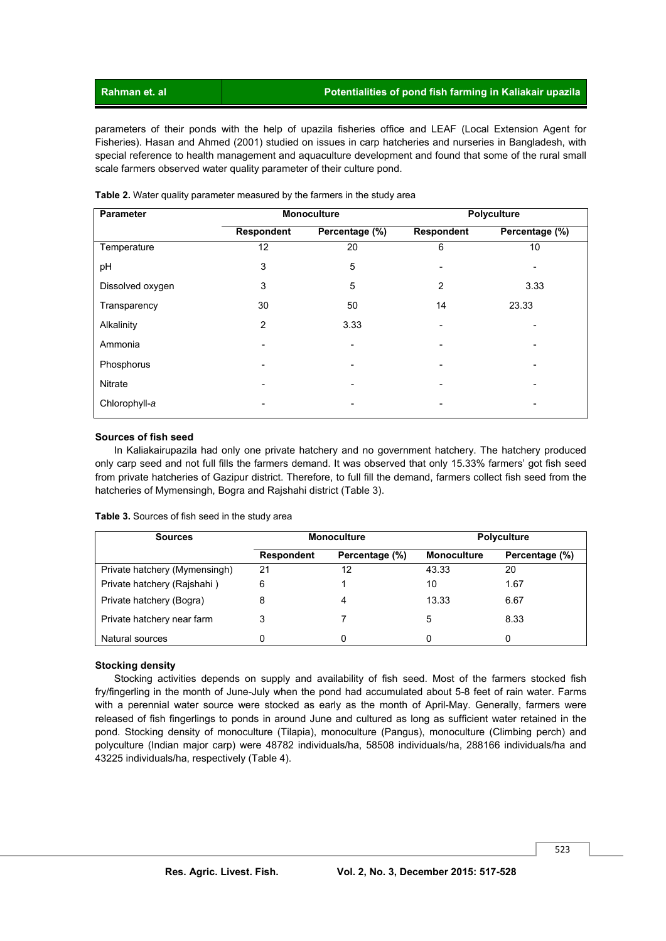parameters of their ponds with the help of upazila fisheries office and LEAF (Local Extension Agent for Fisheries). Hasan and Ahmed (2001) studied on issues in carp hatcheries and nurseries in Bangladesh, with special reference to health management and aquaculture development and found that some of the rural small scale farmers observed water quality parameter of their culture pond.

| Parameter        |                   | <b>Monoculture</b> | Polyculture       |                |
|------------------|-------------------|--------------------|-------------------|----------------|
|                  | <b>Respondent</b> | Percentage (%)     | <b>Respondent</b> | Percentage (%) |
| Temperature      | 12                | 20                 | 6                 | 10             |
| рH               | 3                 | 5                  |                   |                |
| Dissolved oxygen | 3                 | 5                  | 2                 | 3.33           |
| Transparency     | 30                | 50                 | 14                | 23.33          |
| Alkalinity       | 2                 | 3.33               | ٠                 |                |
| Ammonia          |                   |                    |                   |                |
| Phosphorus       |                   |                    |                   |                |
| <b>Nitrate</b>   |                   |                    |                   |                |
| Chlorophyll-a    |                   |                    |                   |                |

**Table 2.** Water quality parameter measured by the farmers in the study area

#### **Sources of fish seed**

 In Kaliakairupazila had only one private hatchery and no government hatchery. The hatchery produced only carp seed and not full fills the farmers demand. It was observed that only 15.33% farmers' got fish seed from private hatcheries of Gazipur district. Therefore, to full fill the demand, farmers collect fish seed from the hatcheries of Mymensingh, Bogra and Rajshahi district (Table 3).

| Table 3. Sources of fish seed in the study area |  |  |  |  |
|-------------------------------------------------|--|--|--|--|
|-------------------------------------------------|--|--|--|--|

| <b>Sources</b>                |                   | <b>Monoculture</b> | <b>Polyculture</b> |                |  |
|-------------------------------|-------------------|--------------------|--------------------|----------------|--|
|                               | <b>Respondent</b> | Percentage (%)     | <b>Monoculture</b> | Percentage (%) |  |
| Private hatchery (Mymensingh) | 21                | 12                 | 43.33              | 20             |  |
| Private hatchery (Rajshahi)   | 6                 |                    | 10                 | 1.67           |  |
| Private hatchery (Bogra)      | 8                 | 4                  | 13.33              | 6.67           |  |
| Private hatchery near farm    | 3                 |                    | 5                  | 8.33           |  |
| Natural sources               |                   |                    | 0                  | 0              |  |

#### **Stocking density**

 Stocking activities depends on supply and availability of fish seed. Most of the farmers stocked fish fry/fingerling in the month of June-July when the pond had accumulated about 5-8 feet of rain water. Farms with a perennial water source were stocked as early as the month of April-May. Generally, farmers were released of fish fingerlings to ponds in around June and cultured as long as sufficient water retained in the pond. Stocking density of monoculture (Tilapia), monoculture (Pangus), monoculture (Climbing perch) and polyculture (Indian major carp) were 48782 individuals/ha, 58508 individuals/ha, 288166 individuals/ha and 43225 individuals/ha, respectively (Table 4).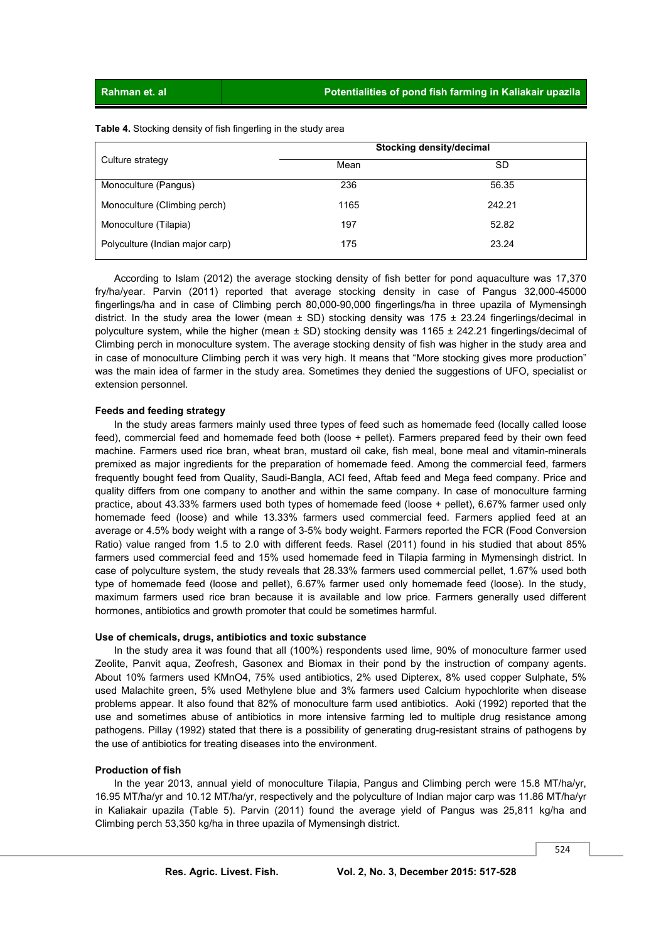**Table 4.** Stocking density of fish fingerling in the study area

|                                 | Stocking density/decimal |        |  |  |
|---------------------------------|--------------------------|--------|--|--|
| Culture strategy                | Mean                     | SD     |  |  |
| Monoculture (Pangus)            | 236                      | 56.35  |  |  |
| Monoculture (Climbing perch)    | 1165                     | 242.21 |  |  |
| Monoculture (Tilapia)           | 197                      | 52.82  |  |  |
| Polyculture (Indian major carp) | 175                      | 23.24  |  |  |

 According to Islam (2012) the average stocking density of fish better for pond aquaculture was 17,370 fry/ha/year. Parvin (2011) reported that average stocking density in case of Pangus 32,000-45000 fingerlings/ha and in case of Climbing perch 80,000-90,000 fingerlings/ha in three upazila of Mymensingh district. In the study area the lower (mean  $\pm$  SD) stocking density was 175  $\pm$  23.24 fingerlings/decimal in polyculture system, while the higher (mean ± SD) stocking density was 1165 ± 242.21 fingerlings/decimal of Climbing perch in monoculture system. The average stocking density of fish was higher in the study area and in case of monoculture Climbing perch it was very high. It means that "More stocking gives more production" was the main idea of farmer in the study area. Sometimes they denied the suggestions of UFO, specialist or extension personnel.

#### **Feeds and feeding strategy**

 In the study areas farmers mainly used three types of feed such as homemade feed (locally called loose feed), commercial feed and homemade feed both (loose + pellet). Farmers prepared feed by their own feed machine. Farmers used rice bran, wheat bran, mustard oil cake, fish meal, bone meal and vitamin-minerals premixed as major ingredients for the preparation of homemade feed. Among the commercial feed, farmers frequently bought feed from Quality, Saudi-Bangla, ACI feed, Aftab feed and Mega feed company. Price and quality differs from one company to another and within the same company. In case of monoculture farming practice, about 43.33% farmers used both types of homemade feed (loose + pellet), 6.67% farmer used only homemade feed (loose) and while 13.33% farmers used commercial feed. Farmers applied feed at an average or 4.5% body weight with a range of 3-5% body weight. Farmers reported the FCR (Food Conversion Ratio) value ranged from 1.5 to 2.0 with different feeds. Rasel (2011) found in his studied that about 85% farmers used commercial feed and 15% used homemade feed in Tilapia farming in Mymensingh district. In case of polyculture system, the study reveals that 28.33% farmers used commercial pellet, 1.67% used both type of homemade feed (loose and pellet), 6.67% farmer used only homemade feed (loose). In the study, maximum farmers used rice bran because it is available and low price. Farmers generally used different hormones, antibiotics and growth promoter that could be sometimes harmful.

#### **Use of chemicals, drugs, antibiotics and toxic substance**

 In the study area it was found that all (100%) respondents used lime, 90% of monoculture farmer used Zeolite, Panvit aqua, Zeofresh, Gasonex and Biomax in their pond by the instruction of company agents. About 10% farmers used KMnO4, 75% used antibiotics, 2% used Dipterex, 8% used copper Sulphate, 5% used Malachite green, 5% used Methylene blue and 3% farmers used Calcium hypochlorite when disease problems appear. It also found that 82% of monoculture farm used antibiotics. Aoki (1992) reported that the use and sometimes abuse of antibiotics in more intensive farming led to multiple drug resistance among pathogens. Pillay (1992) stated that there is a possibility of generating drug-resistant strains of pathogens by the use of antibiotics for treating diseases into the environment.

#### **Production of fish**

 In the year 2013, annual yield of monoculture Tilapia, Pangus and Climbing perch were 15.8 MT/ha/yr, 16.95 MT/ha/yr and 10.12 MT/ha/yr, respectively and the polyculture of Indian major carp was 11.86 MT/ha/yr in Kaliakair upazila (Table 5). Parvin (2011) found the average yield of Pangus was 25,811 kg/ha and Climbing perch 53,350 kg/ha in three upazila of Mymensingh district.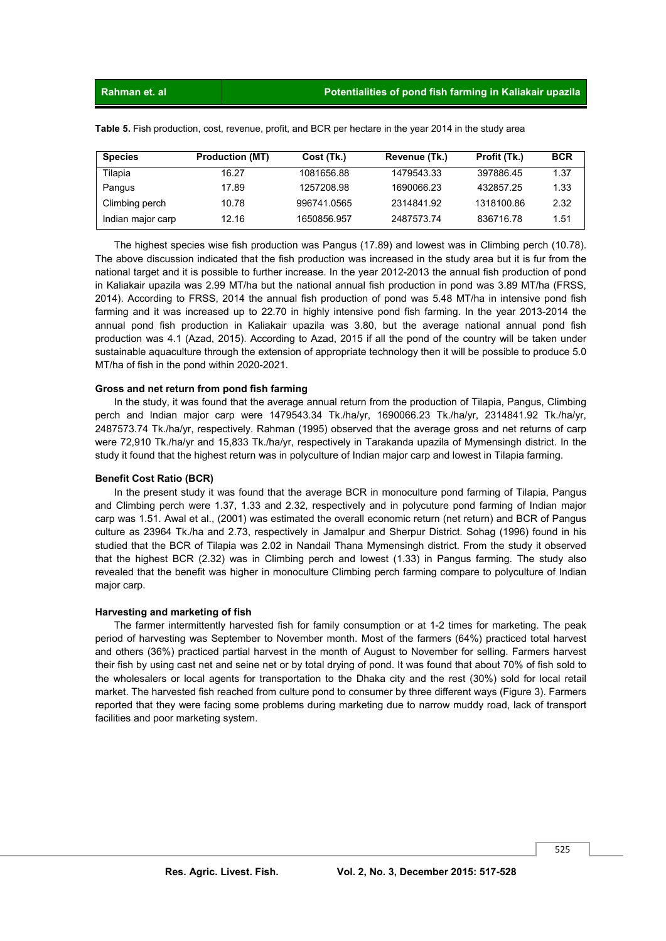| <b>Species</b>    | <b>Production (MT)</b> | Cost (Tk.)  | Revenue (Tk.) | Profit (Tk.) | <b>BCR</b> |
|-------------------|------------------------|-------------|---------------|--------------|------------|
| Tilapia           | 16.27                  | 1081656.88  | 1479543.33    | 397886.45    | 1.37       |
| Pangus            | 17.89                  | 1257208.98  | 1690066.23    | 432857.25    | 1.33       |
| Climbing perch    | 10.78                  | 996741.0565 | 2314841.92    | 1318100.86   | 2.32       |
| Indian major carp | 12.16                  | 1650856.957 | 2487573.74    | 836716.78    | 1.51       |

**Table 5.** Fish production, cost, revenue, profit, and BCR per hectare in the year 2014 in the study area

 The highest species wise fish production was Pangus (17.89) and lowest was in Climbing perch (10.78). The above discussion indicated that the fish production was increased in the study area but it is fur from the national target and it is possible to further increase. In the year 2012-2013 the annual fish production of pond in Kaliakair upazila was 2.99 MT/ha but the national annual fish production in pond was 3.89 MT/ha (FRSS, 2014). According to FRSS, 2014 the annual fish production of pond was 5.48 MT/ha in intensive pond fish farming and it was increased up to 22.70 in highly intensive pond fish farming. In the year 2013-2014 the annual pond fish production in Kaliakair upazila was 3.80, but the average national annual pond fish production was 4.1 (Azad, 2015). According to Azad, 2015 if all the pond of the country will be taken under sustainable aquaculture through the extension of appropriate technology then it will be possible to produce 5.0 MT/ha of fish in the pond within 2020-2021.

#### **Gross and net return from pond fish farming**

 In the study, it was found that the average annual return from the production of Tilapia, Pangus, Climbing perch and Indian major carp were 1479543.34 Tk./ha/yr, 1690066.23 Tk./ha/yr, 2314841.92 Tk./ha/yr, 2487573.74 Tk./ha/yr, respectively. Rahman (1995) observed that the average gross and net returns of carp were 72,910 Tk./ha/yr and 15,833 Tk./ha/yr, respectively in Tarakanda upazila of Mymensingh district. In the study it found that the highest return was in polyculture of Indian major carp and lowest in Tilapia farming.

#### **Benefit Cost Ratio (BCR)**

 In the present study it was found that the average BCR in monoculture pond farming of Tilapia, Pangus and Climbing perch were 1.37, 1.33 and 2.32, respectively and in polycuture pond farming of Indian major carp was 1.51. Awal et al., (2001) was estimated the overall economic return (net return) and BCR of Pangus culture as 23964 Tk./ha and 2.73, respectively in Jamalpur and Sherpur District. Sohag (1996) found in his studied that the BCR of Tilapia was 2.02 in Nandail Thana Mymensingh district. From the study it observed that the highest BCR (2.32) was in Climbing perch and lowest (1.33) in Pangus farming. The study also revealed that the benefit was higher in monoculture Climbing perch farming compare to polyculture of Indian major carp.

#### **Harvesting and marketing of fish**

 The farmer intermittently harvested fish for family consumption or at 1-2 times for marketing. The peak period of harvesting was September to November month. Most of the farmers (64%) practiced total harvest and others (36%) practiced partial harvest in the month of August to November for selling. Farmers harvest their fish by using cast net and seine net or by total drying of pond. It was found that about 70% of fish sold to the wholesalers or local agents for transportation to the Dhaka city and the rest (30%) sold for local retail market. The harvested fish reached from culture pond to consumer by three different ways (Figure 3). Farmers reported that they were facing some problems during marketing due to narrow muddy road, lack of transport facilities and poor marketing system.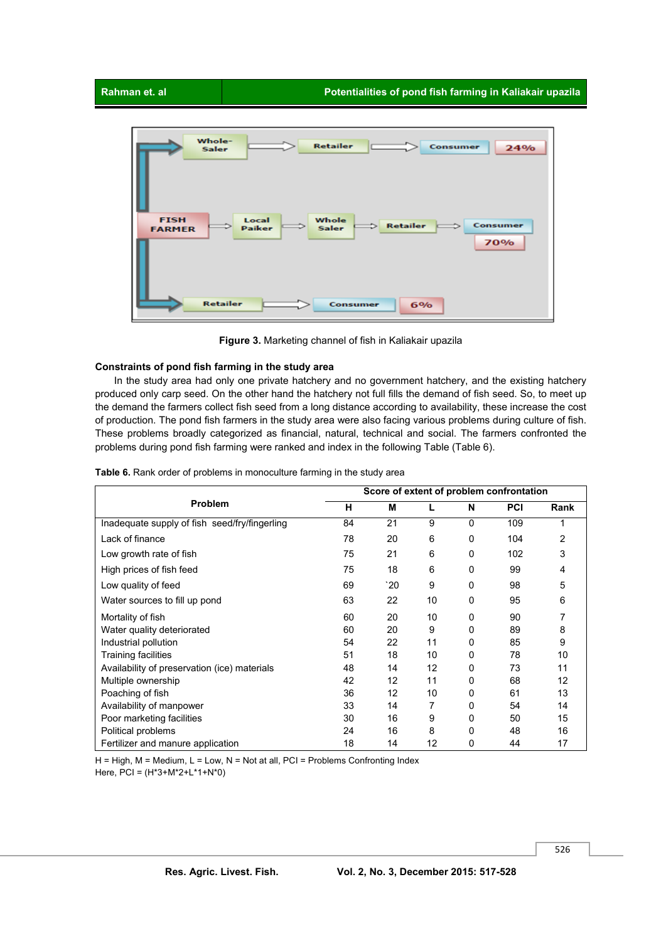

**Figure 3.** Marketing channel of fish in Kaliakair upazila

#### **Constraints of pond fish farming in the study area**

 In the study area had only one private hatchery and no government hatchery, and the existing hatchery produced only carp seed. On the other hand the hatchery not full fills the demand of fish seed. So, to meet up the demand the farmers collect fish seed from a long distance according to availability, these increase the cost of production. The pond fish farmers in the study area were also facing various problems during culture of fish. These problems broadly categorized as financial, natural, technical and social. The farmers confronted the problems during pond fish farming were ranked and index in the following Table (Table 6).

|                                               |    |                   |    |          | Score of extent of problem confrontation |      |
|-----------------------------------------------|----|-------------------|----|----------|------------------------------------------|------|
| <b>Problem</b>                                | н  | M                 |    | N        | <b>PCI</b>                               | Rank |
| Inadequate supply of fish seed/fry/fingerling | 84 | 21                | 9  | $\Omega$ | 109                                      |      |
| Lack of finance                               | 78 | 20                | 6  | $\Omega$ | 104                                      | 2    |
| Low growth rate of fish                       | 75 | 21                | 6  | 0        | 102                                      | 3    |
| High prices of fish feed                      | 75 | 18                | 6  | $\Omega$ | 99                                       | 4    |
| Low quality of feed                           | 69 | 20                | 9  | $\Omega$ | 98                                       | 5    |
| Water sources to fill up pond                 | 63 | 22                | 10 | $\Omega$ | 95                                       | 6    |
| Mortality of fish                             | 60 | 20                | 10 | $\Omega$ | 90                                       |      |
| Water quality deteriorated                    | 60 | 20                | 9  | $\Omega$ | 89                                       | 8    |
| Industrial pollution                          | 54 | 22                | 11 | 0        | 85                                       | 9    |
| <b>Training facilities</b>                    | 51 | 18                | 10 | $\Omega$ | 78                                       | 10   |
| Availability of preservation (ice) materials  | 48 | 14                | 12 | 0        | 73                                       | 11   |
| Multiple ownership                            | 42 | 12                | 11 | 0        | 68                                       | 12   |
| Poaching of fish                              | 36 | $12 \overline{ }$ | 10 | $\Omega$ | 61                                       | 13   |
| Availability of manpower                      | 33 | 14                | 7  | 0        | 54                                       | 14   |
| Poor marketing facilities                     | 30 | 16                | 9  | $\Omega$ | 50                                       | 15   |
| Political problems                            | 24 | 16                | 8  | 0        | 48                                       | 16   |
| Fertilizer and manure application             | 18 | 14                | 12 | 0        | 44                                       | 17   |

**Table 6.** Rank order of problems in monoculture farming in the study area

 $H = High$ ,  $M = Medium$ ,  $L = Low$ ,  $N = Not$  at all,  $PCI = Problems$  Confronting Index

Here, PCI = (H\*3+M\*2+L\*1+N\*0)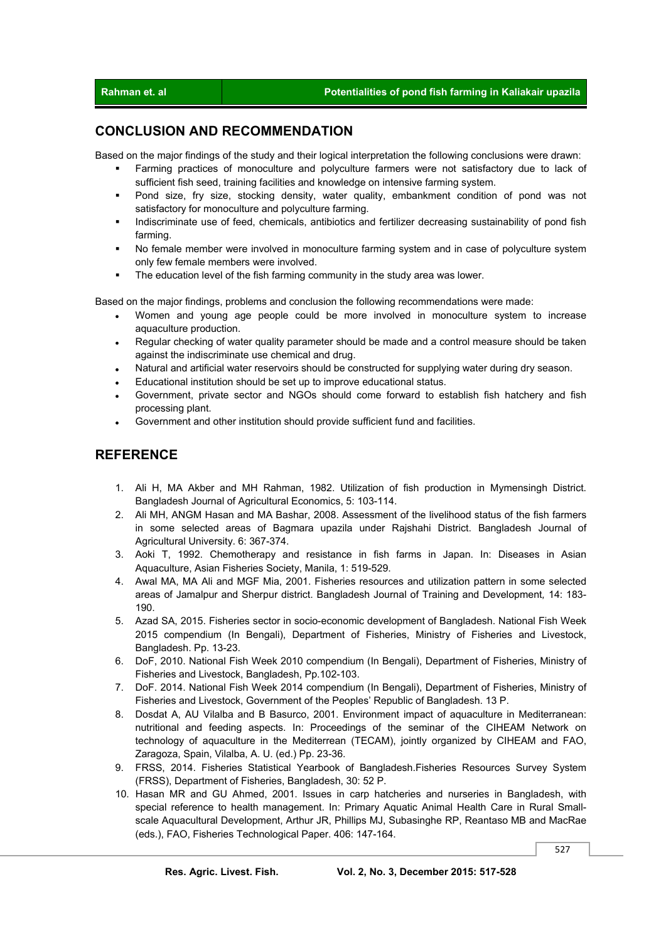## **CONCLUSION AND RECOMMENDATION**

Based on the major findings of the study and their logical interpretation the following conclusions were drawn:

- Farming practices of monoculture and polyculture farmers were not satisfactory due to lack of sufficient fish seed, training facilities and knowledge on intensive farming system.
- Pond size, fry size, stocking density, water quality, embankment condition of pond was not satisfactory for monoculture and polyculture farming.
- Indiscriminate use of feed, chemicals, antibiotics and fertilizer decreasing sustainability of pond fish farming.
- No female member were involved in monoculture farming system and in case of polyculture system only few female members were involved.
- The education level of the fish farming community in the study area was lower.

Based on the major findings, problems and conclusion the following recommendations were made:

- Women and young age people could be more involved in monoculture system to increase aquaculture production.
- Regular checking of water quality parameter should be made and a control measure should be taken against the indiscriminate use chemical and drug.
- Natural and artificial water reservoirs should be constructed for supplying water during dry season.
- Educational institution should be set up to improve educational status.
- Government, private sector and NGOs should come forward to establish fish hatchery and fish processing plant.
- Government and other institution should provide sufficient fund and facilities.

## **REFERENCE**

- 1. Ali H, MA Akber and MH Rahman, 1982. Utilization of fish production in Mymensingh District. Bangladesh Journal of Agricultural Economics, 5: 103-114.
- 2. Ali MH, ANGM Hasan and MA Bashar, 2008. Assessment of the livelihood status of the fish farmers in some selected areas of Bagmara upazila under Rajshahi District. Bangladesh Journal of Agricultural University. 6: 367-374.
- 3. Aoki T, 1992. Chemotherapy and resistance in fish farms in Japan. In: Diseases in Asian Aquaculture, Asian Fisheries Society, Manila, 1: 519-529.
- 4. Awal MA, MA Ali and MGF Mia, 2001. Fisheries resources and utilization pattern in some selected areas of Jamalpur and Sherpur district. Bangladesh Journal of Training and Development*,* 14: 183- 190.
- 5. Azad SA, 2015. Fisheries sector in socio-economic development of Bangladesh. National Fish Week 2015 compendium (In Bengali), Department of Fisheries, Ministry of Fisheries and Livestock, Bangladesh. Pp. 13-23.
- 6. DoF, 2010. National Fish Week 2010 compendium (In Bengali), Department of Fisheries, Ministry of Fisheries and Livestock, Bangladesh, Pp.102-103.
- 7. DoF. 2014. National Fish Week 2014 compendium (In Bengali), Department of Fisheries, Ministry of Fisheries and Livestock, Government of the Peoples' Republic of Bangladesh. 13 P.
- 8. Dosdat A, AU Vilalba and B Basurco, 2001. Environment impact of aquaculture in Mediterranean: nutritional and feeding aspects. In: Proceedings of the seminar of the CIHEAM Network on technology of aquaculture in the Mediterrean (TECAM), jointly organized by CIHEAM and FAO, Zaragoza, Spain, Vilalba, A. U. (ed.) Pp. 23-36.
- 9. FRSS, 2014. Fisheries Statistical Yearbook of Bangladesh.Fisheries Resources Survey System (FRSS), Department of Fisheries, Bangladesh, 30: 52 P.
- 10. Hasan MR and GU Ahmed, 2001. Issues in carp hatcheries and nurseries in Bangladesh, with special reference to health management. In: Primary Aquatic Animal Health Care in Rural Smallscale Aquacultural Development, Arthur JR, Phillips MJ, Subasinghe RP, Reantaso MB and MacRae (eds.), FAO, Fisheries Technological Paper. 406: 147-164.